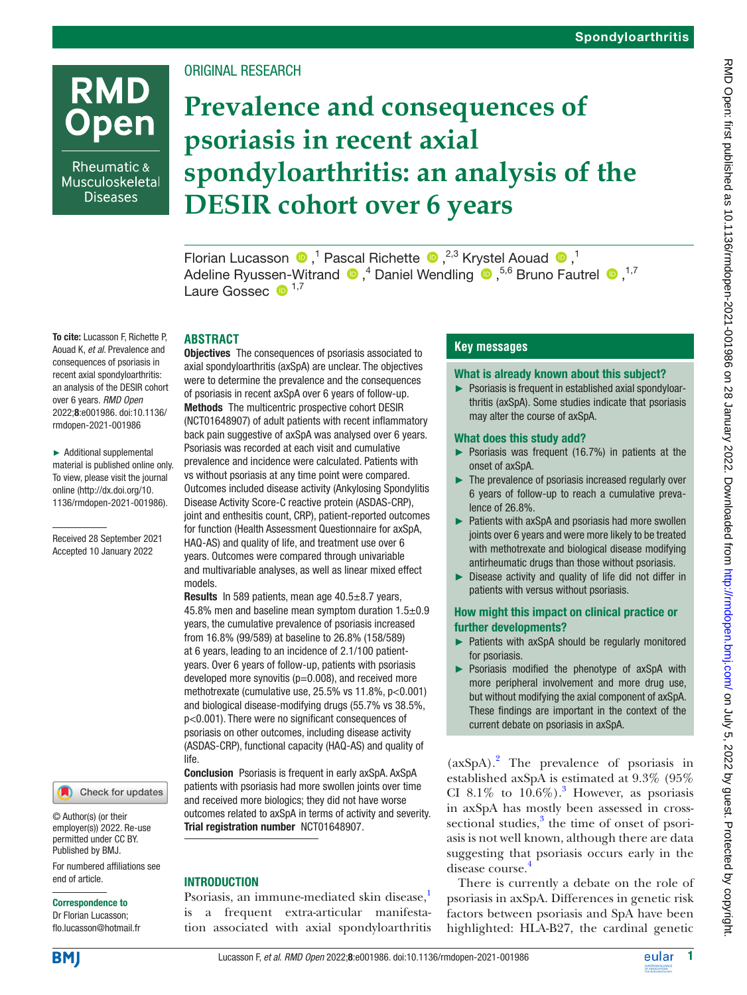# **RMD Open**

Rheumatic & Musculoskeletal **Diseases** 

## ORIGINAL RESEARCH

## **Prevalence and consequences of psoriasis in recent axial spondyloarthritis: an analysis of the DESIR cohort over 6 years**

Florian Lucasson  $\bullet$ ,<sup>1</sup> Pascal Richette  $\bullet$ ,<sup>2,3</sup> Krystel Aouad  $\bullet$ ,<sup>1</sup> AdelineRyussen-Witrand  $\bullet$ ,<sup>4</sup> Daniel Wendling  $\bullet$ ,<sup>5,6</sup> Bruno Fautrel  $\bullet$ ,<sup>1,7</sup> Laure Gossec  $\bullet$  1,7

## **ABSTRACT**

To cite: Lucasson F, Richette P, Aouad K, *et al*. Prevalence and consequences of psoriasis in recent axial spondyloarthritis: an analysis of the DESIR cohort over 6 years. *RMD Open* 2022;8:e001986. doi:10.1136/ rmdopen-2021-001986

► Additional supplemental material is published online only. To view, please visit the journal online ([http://dx.doi.org/10.](http://dx.doi.org/10.1136/rmdopen-2021-001986) [1136/rmdopen-2021-001986\)](http://dx.doi.org/10.1136/rmdopen-2021-001986).

Received 28 September 2021 Accepted 10 January 2022



© Author(s) (or their employer(s)) 2022. Re-use permitted under CC BY. Published by BMJ.

For numbered affiliations see end of article.

#### Correspondence to

Dr Florian Lucasson; flo.lucasson@hotmail.fr

**Objectives** The consequences of psoriasis associated to axial spondyloarthritis (axSpA) are unclear. The objectives were to determine the prevalence and the consequences of psoriasis in recent axSpA over 6 years of follow-up. Methods The multicentric prospective cohort DESIR (NCT01648907) of adult patients with recent inflammatory back pain suggestive of axSpA was analysed over 6 years. Psoriasis was recorded at each visit and cumulative prevalence and incidence were calculated. Patients with vs without psoriasis at any time point were compared. Outcomes included disease activity (Ankylosing Spondylitis Disease Activity Score-C reactive protein (ASDAS-CRP), joint and enthesitis count, CRP), patient-reported outcomes for function (Health Assessment Questionnaire for axSpA, HAQ-AS) and quality of life, and treatment use over 6 years. Outcomes were compared through univariable and multivariable analyses, as well as linear mixed effect models.

Results In 589 patients, mean age 40.5±8.7 years, 45.8% men and baseline mean symptom duration 1.5±0.9 years, the cumulative prevalence of psoriasis increased from 16.8% (99/589) at baseline to 26.8% (158/589) at 6 years, leading to an incidence of 2.1/100 patientyears. Over 6 years of follow-up, patients with psoriasis developed more synovitis  $(p=0.008)$ , and received more methotrexate (cumulative use, 25.5% vs 11.8%, p<0.001) and biological disease-modifying drugs (55.7% vs 38.5%, p<0.001). There were no significant consequences of psoriasis on other outcomes, including disease activity (ASDAS-CRP), functional capacity (HAQ-AS) and quality of life.

Conclusion Psoriasis is frequent in early axSpA. AxSpA patients with psoriasis had more swollen joints over time and received more biologics; they did not have worse outcomes related to axSpA in terms of activity and severity. Trial registration number <NCT01648907>.

## **INTRODUCTION**

Psoriasis, an immune-mediated skin disease,<sup>[1](#page-7-0)</sup> is a frequent extra-articular manifestation associated with axial spondyloarthritis

## **Key messages**

#### What is already known about this subject?

► Psoriasis is frequent in established axial spondyloarthritis (axSpA). Some studies indicate that psoriasis may alter the course of axSpA.

#### What does this study add?

- ► Psoriasis was frequent (16.7%) in patients at the onset of axSpA.
- ► The prevalence of psoriasis increased regularly over 6 years of follow-up to reach a cumulative prevalence of 26.8%.
- ► Patients with axSpA and psoriasis had more swollen joints over 6 years and were more likely to be treated with methotrexate and biological disease modifying antirheumatic drugs than those without psoriasis.
- ► Disease activity and quality of life did not differ in patients with versus without psoriasis.

## How might this impact on clinical practice or further developments?

- ► Patients with axSpA should be regularly monitored for psoriasis.
- ► Psoriasis modified the phenotype of axSpA with more peripheral involvement and more drug use, but without modifying the axial component of axSpA. These findings are important in the context of the current debate on psoriasis in axSpA.

(axSpA)[.2](#page-7-1) The prevalence of psoriasis in established axSpA is estimated at 9.3% (95% CI 8.1% to  $10.6\%$ ).<sup>3</sup> However, as psoriasis in axSpA has mostly been assessed in cross-sectional studies,<sup>[3](#page-7-2)</sup> the time of onset of psoriasis is not well known, although there are data suggesting that psoriasis occurs early in the disease course.<sup>[4](#page-7-3)</sup>

There is currently a debate on the role of psoriasis in axSpA. Differences in genetic risk factors between psoriasis and SpA have been highlighted: HLA-B27, the cardinal genetic

**BMI**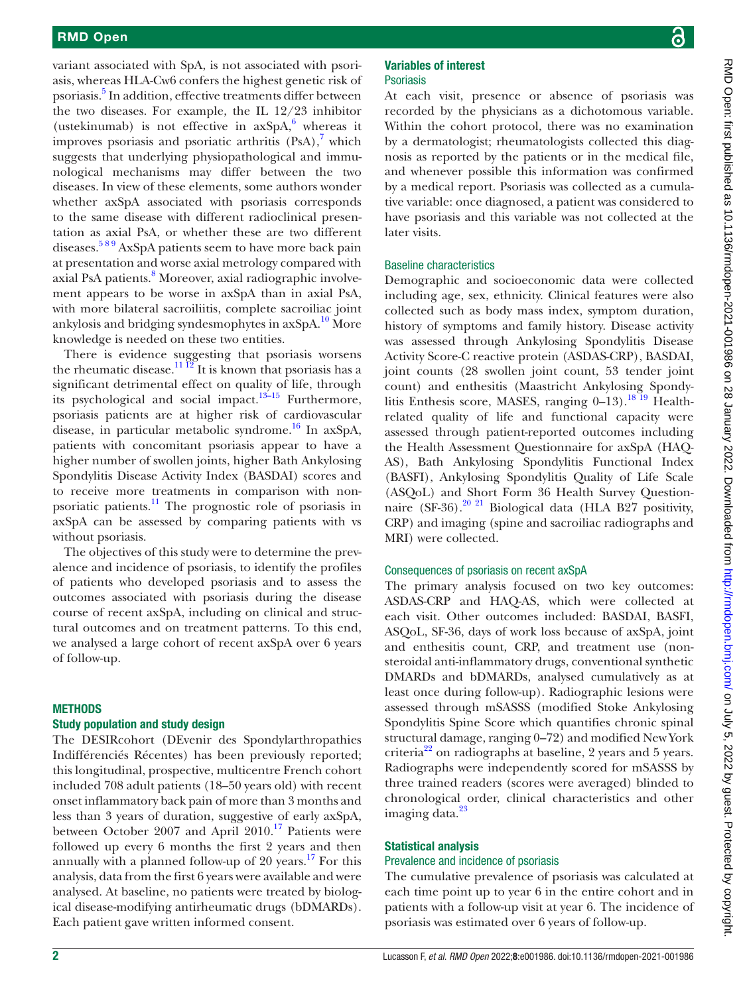variant associated with SpA, is not associated with psoriasis, whereas HLA-Cw6 confers the highest genetic risk of psoriasis.<sup>5</sup> In addition, effective treatments differ between the two diseases. For example, the IL 12/23 inhibitor (ustekinumab) is not effective in  $axSpA$ , whereas it improves psoriasis and psoriatic arthritis  $(PsA)$ ,<sup>[7](#page-7-6)</sup> which suggests that underlying physiopathological and immunological mechanisms may differ between the two diseases. In view of these elements, some authors wonder whether axSpA associated with psoriasis corresponds to the same disease with different radioclinical presentation as axial PsA, or whether these are two different diseases.<sup>589</sup> AxSpA patients seem to have more back pain at presentation and worse axial metrology compared with axial PsA patients.<sup>[8](#page-7-7)</sup> Moreover, axial radiographic involvement appears to be worse in axSpA than in axial PsA, with more bilateral sacroiliitis, complete sacroiliac joint ankylosis and bridging syndesmophytes in axSpA.[10](#page-7-8) More knowledge is needed on these two entities.

There is evidence suggesting that psoriasis worsens the rheumatic disease.<sup>11 12</sup> It is known that psoriasis has a significant detrimental effect on quality of life, through its psychological and social impact. $13-15$  Furthermore, psoriasis patients are at higher risk of cardiovascular disease, in particular metabolic syndrome.<sup>16</sup> In axSpA, patients with concomitant psoriasis appear to have a higher number of swollen joints, higher Bath Ankylosing Spondylitis Disease Activity Index (BASDAI) scores and to receive more treatments in comparison with nonpsoriatic patients. $\frac{11}{11}$  $\frac{11}{11}$  $\frac{11}{11}$  The prognostic role of psoriasis in axSpA can be assessed by comparing patients with vs without psoriasis.

The objectives of this study were to determine the prevalence and incidence of psoriasis, to identify the profiles of patients who developed psoriasis and to assess the outcomes associated with psoriasis during the disease course of recent axSpA, including on clinical and structural outcomes and on treatment patterns. To this end, we analysed a large cohort of recent axSpA over 6 years of follow-up.

#### **METHODS**

#### Study population and study design

The DESIRcohort (DEvenir des Spondylarthropathies Indifférenciés Récentes) has been previously reported; this longitudinal, prospective, multicentre French cohort included 708 adult patients (18–50 years old) with recent onset inflammatory back pain of more than 3 months and less than 3 years of duration, suggestive of early axSpA, between October 2007 and April  $2010<sup>17</sup>$  $2010<sup>17</sup>$  $2010<sup>17</sup>$  Patients were followed up every 6 months the first 2 years and then annually with a planned follow-up of 20 years. $17$  For this analysis, data from the first 6 years were available and were analysed. At baseline, no patients were treated by biological disease-modifying antirheumatic drugs (bDMARDs). Each patient gave written informed consent.

## Variables of interest Psoriasis

At each visit, presence or absence of psoriasis was recorded by the physicians as a dichotomous variable. Within the cohort protocol, there was no examination by a dermatologist; rheumatologists collected this diagnosis as reported by the patients or in the medical file, and whenever possible this information was confirmed by a medical report. Psoriasis was collected as a cumulative variable: once diagnosed, a patient was considered to have psoriasis and this variable was not collected at the later visits.

#### Baseline characteristics

Demographic and socioeconomic data were collected including age, sex, ethnicity. Clinical features were also collected such as body mass index, symptom duration, history of symptoms and family history. Disease activity was assessed through Ankylosing Spondylitis Disease Activity Score-C reactive protein (ASDAS-CRP), BASDAI, joint counts (28 swollen joint count, 53 tender joint count) and enthesitis (Maastricht Ankylosing Spondylitis Enthesis score, MASES, ranging 0-13).<sup>18 19</sup> Healthrelated quality of life and functional capacity were assessed through patient-reported outcomes including the Health Assessment Questionnaire for axSpA (HAQ-AS), Bath Ankylosing Spondylitis Functional Index (BASFI), Ankylosing Spondylitis Quality of Life Scale (ASQoL) and Short Form 36 Health Survey Questionnaire (SF-36).<sup>20 21</sup> Biological data (HLA B27 positivity, CRP) and imaging (spine and sacroiliac radiographs and MRI) were collected.

### Consequences of psoriasis on recent axSpA

The primary analysis focused on two key outcomes: ASDAS-CRP and HAQ-AS, which were collected at each visit. Other outcomes included: BASDAI, BASFI, ASQoL, SF-36, days of work loss because of axSpA, joint and enthesitis count, CRP, and treatment use (nonsteroidal anti-inflammatory drugs, conventional synthetic DMARDs and bDMARDs, analysed cumulatively as at least once during follow-up). Radiographic lesions were assessed through mSASSS (modified Stoke Ankylosing Spondylitis Spine Score which quantifies chronic spinal structural damage, ranging 0–72) and modified New York criteria<sup>22</sup> on radiographs at baseline, 2 years and 5 years. Radiographs were independently scored for mSASSS by three trained readers (scores were averaged) blinded to chronological order, clinical characteristics and other imaging data.<sup>23</sup>

#### Statistical analysis

## Prevalence and incidence of psoriasis

The cumulative prevalence of psoriasis was calculated at each time point up to year 6 in the entire cohort and in patients with a follow-up visit at year 6. The incidence of psoriasis was estimated over 6 years of follow-up.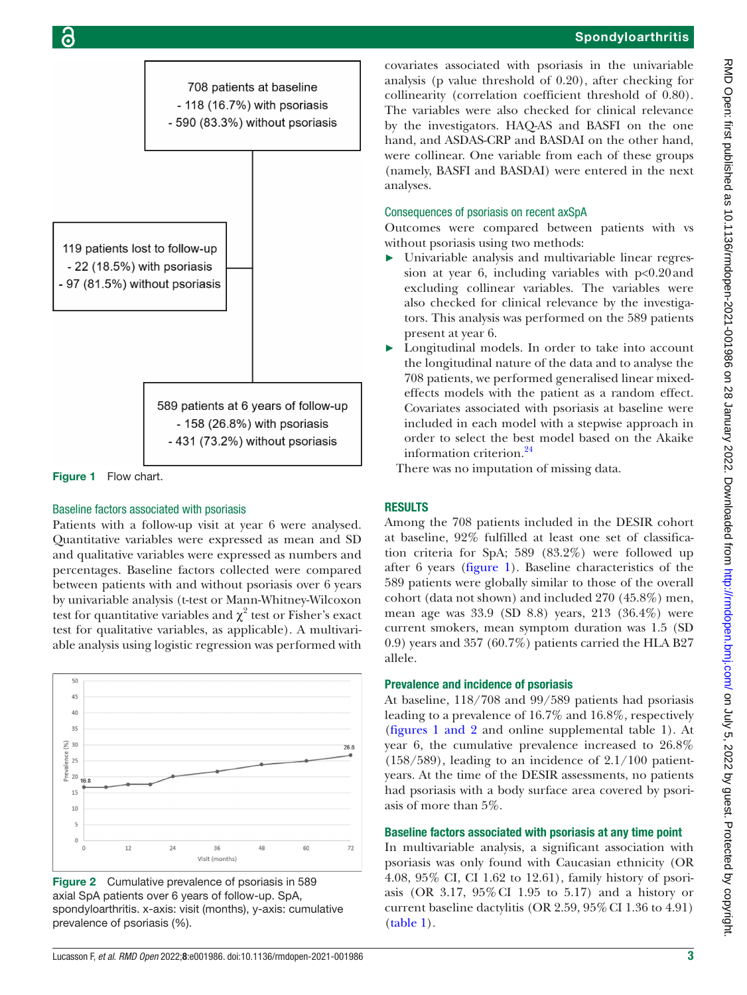

<span id="page-2-0"></span>Figure 1 Flow chart.

## Baseline factors associated with psoriasis

Patients with a follow-up visit at year 6 were analysed. Quantitative variables were expressed as mean and SD and qualitative variables were expressed as numbers and percentages. Baseline factors collected were compared between patients with and without psoriasis over 6 years by univariable analysis (t-test or Mann-Whitney-Wilcoxon test for quantitative variables and  $\chi^2$  test or Fisher's exact test for qualitative variables, as applicable). A multivariable analysis using logistic regression was performed with



Figure 2 Cumulative prevalence of psoriasis in 589 axial SpA patients over 6 years of follow-up. SpA, spondyloarthritis. x-axis: visit (months), y-axis: cumulative prevalence of psoriasis (%).

covariates associated with psoriasis in the univariable analysis (p value threshold of 0.20), after checking for collinearity (correlation coefficient threshold of 0.80). The variables were also checked for clinical relevance by the investigators. HAQ-AS and BASFI on the one hand, and ASDAS-CRP and BASDAI on the other hand, were collinear. One variable from each of these groups (namely, BASFI and BASDAI) were entered in the next analyses.

## Consequences of psoriasis on recent axSpA

Outcomes were compared between patients with vs without psoriasis using two methods:

- ► Univariable analysis and multivariable linear regression at year 6, including variables with p<0.20and excluding collinear variables. The variables were also checked for clinical relevance by the investigators. This analysis was performed on the 589 patients present at year 6.
- Longitudinal models. In order to take into account the longitudinal nature of the data and to analyse the 708 patients, we performed generalised linear mixedeffects models with the patient as a random effect. Covariates associated with psoriasis at baseline were included in each model with a stepwise approach in order to select the best model based on the Akaike information criterion.<sup>24</sup>

There was no imputation of missing data.

## RESULTS

Among the 708 patients included in the DESIR cohort at baseline, 92% fulfilled at least one set of classification criteria for SpA; 589 (83.2%) were followed up after 6 years ([figure](#page-2-0) 1). Baseline characteristics of the 589 patients were globally similar to those of the overall cohort (data not shown) and included 270 (45.8%) men, mean age was 33.9 (SD 8.8) years, 213 (36.4%) were current smokers, mean symptom duration was 1.5 (SD 0.9) years and 357 (60.7%) patients carried the HLA B27 allele.

## Prevalence and incidence of psoriasis

At baseline, 118/708 and 99/589 patients had psoriasis leading to a prevalence of 16.7% and 16.8%, respectively (figures [1 and 2](#page-2-0) and [online supplemental table 1](https://dx.doi.org/10.1136/rmdopen-2021-001986)). At year 6, the cumulative prevalence increased to 26.8% (158/589), leading to an incidence of 2.1/100 patientyears. At the time of the DESIR assessments, no patients had psoriasis with a body surface area covered by psoriasis of more than 5%.

## Baseline factors associated with psoriasis at any time point

In multivariable analysis, a significant association with psoriasis was only found with Caucasian ethnicity (OR 4.08, 95% CI, CI 1.62 to 12.61), family history of psoriasis (OR 3.17, 95%CI 1.95 to 5.17) and a history or current baseline dactylitis (OR  $2.59$ ,  $95\%$  CI 1.36 to 4.91) [\(table](#page-3-0) 1).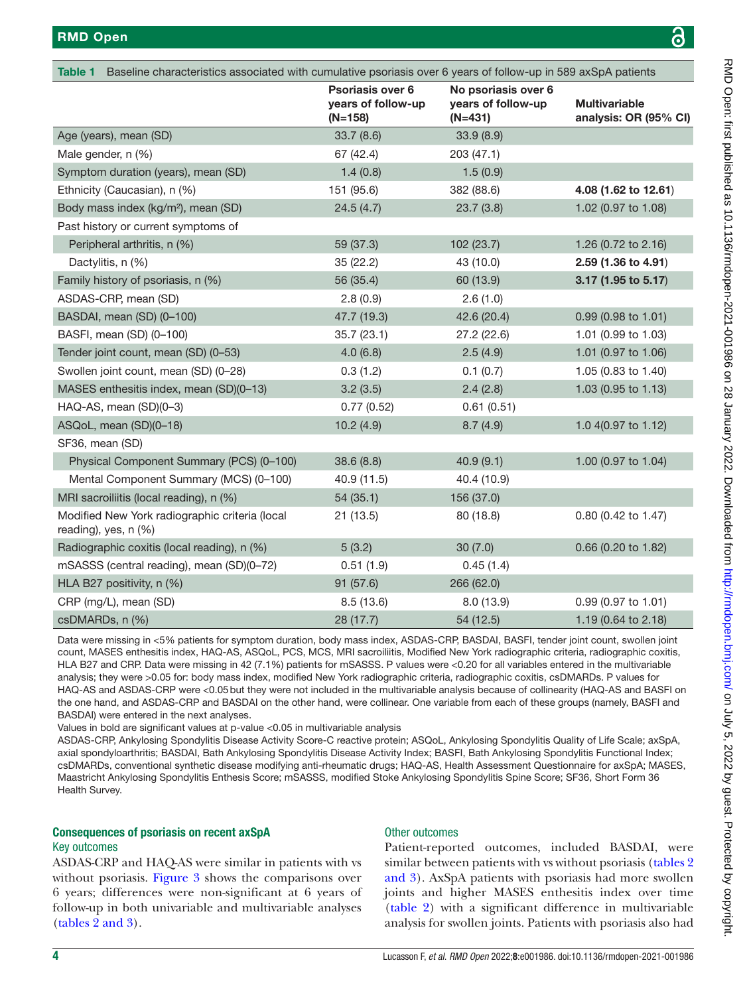<span id="page-3-0"></span>

| <b>Table 1</b><br>Baseline characteristics associated with cumulative psoriasis over 6 years of follow-up in 589 axSpA patients |                                                   |                                                        |                                               |  |  |  |
|---------------------------------------------------------------------------------------------------------------------------------|---------------------------------------------------|--------------------------------------------------------|-----------------------------------------------|--|--|--|
|                                                                                                                                 | Psoriasis over 6<br>years of follow-up<br>(N=158) | No psoriasis over 6<br>years of follow-up<br>$(N=431)$ | <b>Multivariable</b><br>analysis: OR (95% CI) |  |  |  |
| Age (years), mean (SD)                                                                                                          | 33.7(8.6)                                         | 33.9(8.9)                                              |                                               |  |  |  |
| Male gender, n (%)                                                                                                              | 67 (42.4)                                         | 203 (47.1)                                             |                                               |  |  |  |
| Symptom duration (years), mean (SD)                                                                                             | 1.4(0.8)                                          | 1.5(0.9)                                               |                                               |  |  |  |
| Ethnicity (Caucasian), n (%)                                                                                                    | 151 (95.6)                                        | 382 (88.6)                                             | 4.08 (1.62 to 12.61)                          |  |  |  |
| Body mass index (kg/m <sup>2</sup> ), mean (SD)                                                                                 | 24.5(4.7)                                         | 23.7(3.8)                                              | 1.02 (0.97 to 1.08)                           |  |  |  |
| Past history or current symptoms of                                                                                             |                                                   |                                                        |                                               |  |  |  |
| Peripheral arthritis, n (%)                                                                                                     | 59 (37.3)                                         | 102 (23.7)                                             | 1.26 (0.72 to 2.16)                           |  |  |  |
| Dactylitis, n (%)                                                                                                               | 35(22.2)                                          | 43 (10.0)                                              | 2.59 (1.36 to 4.91)                           |  |  |  |
| Family history of psoriasis, n (%)                                                                                              | 56 (35.4)                                         | 60 (13.9)                                              | 3.17 (1.95 to 5.17)                           |  |  |  |
| ASDAS-CRP, mean (SD)                                                                                                            | 2.8(0.9)                                          | 2.6(1.0)                                               |                                               |  |  |  |
| BASDAI, mean (SD) (0-100)                                                                                                       | 47.7 (19.3)                                       | 42.6 (20.4)                                            | 0.99 (0.98 to 1.01)                           |  |  |  |
| BASFI, mean (SD) (0-100)                                                                                                        | 35.7(23.1)                                        | 27.2(22.6)                                             | 1.01 (0.99 to 1.03)                           |  |  |  |
| Tender joint count, mean (SD) (0-53)                                                                                            | 4.0(6.8)                                          | 2.5(4.9)                                               | 1.01 (0.97 to 1.06)                           |  |  |  |
| Swollen joint count, mean (SD) (0-28)                                                                                           | 0.3(1.2)                                          | 0.1(0.7)                                               | 1.05 (0.83 to 1.40)                           |  |  |  |
| MASES enthesitis index, mean (SD)(0-13)                                                                                         | 3.2(3.5)                                          | 2.4(2.8)                                               | 1.03 (0.95 to 1.13)                           |  |  |  |
| HAQ-AS, mean (SD)(0-3)                                                                                                          | 0.77(0.52)                                        | 0.61(0.51)                                             |                                               |  |  |  |
| ASQoL, mean (SD)(0-18)                                                                                                          | 10.2(4.9)                                         | 8.7(4.9)                                               | 1.0 4(0.97 to 1.12)                           |  |  |  |
| SF36, mean (SD)                                                                                                                 |                                                   |                                                        |                                               |  |  |  |
| Physical Component Summary (PCS) (0-100)                                                                                        | 38.6(8.8)                                         | 40.9(9.1)                                              | 1.00 (0.97 to 1.04)                           |  |  |  |
| Mental Component Summary (MCS) (0-100)                                                                                          | 40.9 (11.5)                                       | 40.4 (10.9)                                            |                                               |  |  |  |
| MRI sacroiliitis (local reading), n (%)                                                                                         | 54 (35.1)                                         | 156 (37.0)                                             |                                               |  |  |  |
| Modified New York radiographic criteria (local<br>reading), yes, n (%)                                                          | 21(13.5)                                          | 80 (18.8)                                              | 0.80 (0.42 to 1.47)                           |  |  |  |
| Radiographic coxitis (local reading), n (%)                                                                                     | 5(3.2)                                            | 30(7.0)                                                | 0.66 (0.20 to 1.82)                           |  |  |  |
| mSASSS (central reading), mean (SD)(0-72)                                                                                       | 0.51(1.9)                                         | 0.45(1.4)                                              |                                               |  |  |  |
| HLA B27 positivity, n (%)                                                                                                       | 91 (57.6)                                         | 266 (62.0)                                             |                                               |  |  |  |
| CRP (mg/L), mean (SD)                                                                                                           | 8.5(13.6)                                         | 8.0(13.9)                                              | $0.99$ (0.97 to 1.01)                         |  |  |  |
| csDMARDs, n (%)                                                                                                                 | 28 (17.7)                                         | 54 (12.5)                                              | 1.19 (0.64 to 2.18)                           |  |  |  |

Data were missing in <5% patients for symptom duration, body mass index, ASDAS-CRP, BASDAI, BASFI, tender joint count, swollen joint count, MASES enthesitis index, HAQ-AS, ASQoL, PCS, MCS, MRI sacroiliitis, Modified New York radiographic criteria, radiographic coxitis, HLA B27 and CRP. Data were missing in 42 (7.1%) patients for mSASSS. P values were <0.20 for all variables entered in the multivariable analysis; they were >0.05 for: body mass index, modified New York radiographic criteria, radiographic coxitis, csDMARDs. P values for HAQ-AS and ASDAS-CRP were <0.05but they were not included in the multivariable analysis because of collinearity (HAQ-AS and BASFI on the one hand, and ASDAS-CRP and BASDAI on the other hand, were collinear. One variable from each of these groups (namely, BASFI and BASDAI) were entered in the next analyses.

Values in bold are significant values at p-value <0.05 in multivariable analysis

ASDAS-CRP, Ankylosing Spondylitis Disease Activity Score-C reactive protein; ASQoL, Ankylosing Spondylitis Quality of Life Scale; axSpA, axial spondyloarthritis; BASDAI, Bath Ankylosing Spondylitis Disease Activity Index; BASFI, Bath Ankylosing Spondylitis Functional Index; csDMARDs, conventional synthetic disease modifying anti-rheumatic drugs; HAQ-AS, Health Assessment Questionnaire for axSpA; MASES, Maastricht Ankylosing Spondylitis Enthesis Score; mSASSS, modified Stoke Ankylosing Spondylitis Spine Score; SF36, Short Form 36 Health Survey.

## Consequences of psoriasis on recent axSpA

#### Key outcomes

ASDAS-CRP and HAQ-AS were similar in patients with vs without psoriasis. [Figure](#page-4-0) 3 shows the comparisons over 6 years; differences were non-significant at 6 years of follow-up in both univariable and multivariable analyses (tables [2 and 3](#page-5-0)).

## Other outcomes

Patient-reported outcomes, included BASDAI, were similar between patients with vs without psoriasis [\(tables](#page-5-0) 2 [and 3](#page-5-0)). AxSpA patients with psoriasis had more swollen joints and higher MASES enthesitis index over time [\(table](#page-5-0) 2) with a significant difference in multivariable analysis for swollen joints. Patients with psoriasis also had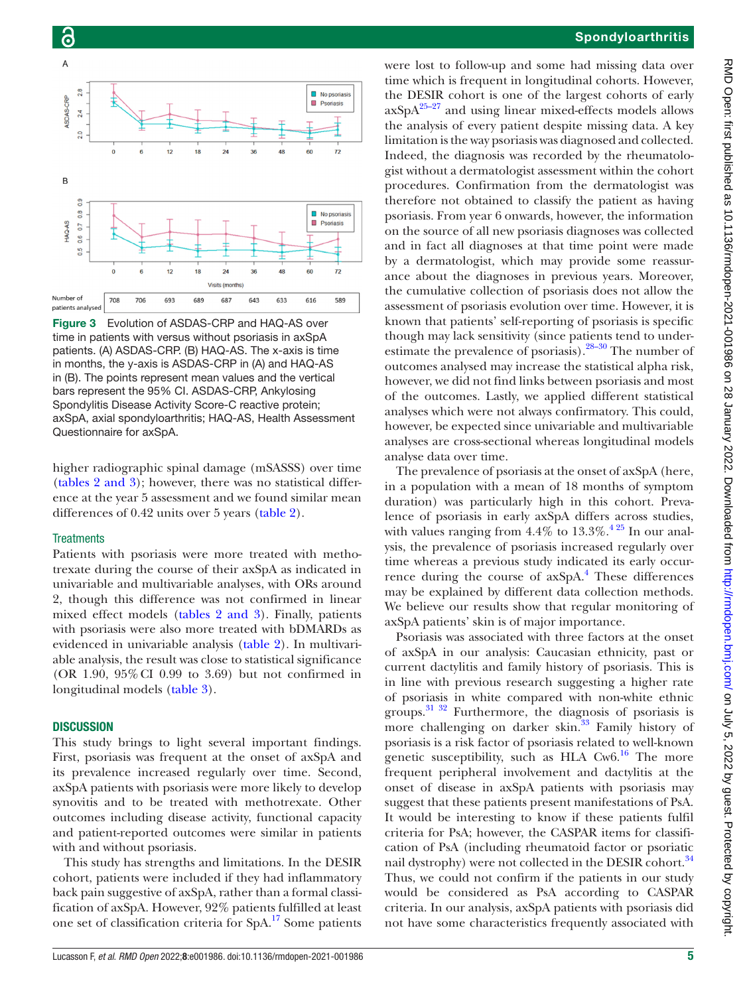

<span id="page-4-0"></span>Figure 3 Evolution of ASDAS-CRP and HAQ-AS over time in patients with versus without psoriasis in axSpA patients. (A) ASDAS-CRP. (B) HAQ-AS. The x-axis is time in months, the y-axis is ASDAS-CRP in (A) and HAQ-AS in (B). The points represent mean values and the vertical bars represent the 95% CI. ASDAS-CRP, Ankylosing Spondylitis Disease Activity Score-C reactive protein; axSpA, axial spondyloarthritis; HAQ-AS, Health Assessment Questionnaire for axSpA.

higher radiographic spinal damage (mSASSS) over time (tables [2 and 3](#page-5-0)); however, there was no statistical difference at the year 5 assessment and we found similar mean differences of 0.42 units over 5 years ([table](#page-5-0) 2).

#### **Treatments**

Patients with psoriasis were more treated with methotrexate during the course of their axSpA as indicated in univariable and multivariable analyses, with ORs around 2, though this difference was not confirmed in linear mixed effect models (tables [2 and 3\)](#page-5-0). Finally, patients with psoriasis were also more treated with bDMARDs as evidenced in univariable analysis ([table](#page-5-0) 2). In multivariable analysis, the result was close to statistical significance (OR 1.90, 95%CI 0.99 to 3.69) but not confirmed in longitudinal models ([table](#page-6-0) 3).

### **DISCUSSION**

This study brings to light several important findings. First, psoriasis was frequent at the onset of axSpA and its prevalence increased regularly over time. Second, axSpA patients with psoriasis were more likely to develop synovitis and to be treated with methotrexate. Other outcomes including disease activity, functional capacity and patient-reported outcomes were similar in patients with and without psoriasis.

This study has strengths and limitations. In the DESIR cohort, patients were included if they had inflammatory back pain suggestive of axSpA, rather than a formal classification of axSpA. However, 92% patients fulfilled at least one set of classification criteria for SpA.[17](#page-7-12) Some patients

were lost to follow-up and some had missing data over time which is frequent in longitudinal cohorts. However, the DESIR cohort is one of the largest cohorts of early  $axSpA<sup>25-27</sup>$  and using linear mixed-effects models allows the analysis of every patient despite missing data. A key limitation is the way psoriasis was diagnosed and collected. Indeed, the diagnosis was recorded by the rheumatologist without a dermatologist assessment within the cohort procedures. Confirmation from the dermatologist was therefore not obtained to classify the patient as having psoriasis. From year 6 onwards, however, the information on the source of all new psoriasis diagnoses was collected and in fact all diagnoses at that time point were made by a dermatologist, which may provide some reassurance about the diagnoses in previous years. Moreover, the cumulative collection of psoriasis does not allow the assessment of psoriasis evolution over time. However, it is known that patients' self-reporting of psoriasis is specific though may lack sensitivity (since patients tend to underestimate the prevalence of psoriasis)[.28–30](#page-8-4) The number of outcomes analysed may increase the statistical alpha risk, however, we did not find links between psoriasis and most of the outcomes. Lastly, we applied different statistical analyses which were not always confirmatory. This could, however, be expected since univariable and multivariable analyses are cross-sectional whereas longitudinal models analyse data over time.

The prevalence of psoriasis at the onset of axSpA (here, in a population with a mean of 18 months of symptom duration) was particularly high in this cohort. Prevalence of psoriasis in early axSpA differs across studies, with values ranging from  $4.4\%$  to  $13.3\%$ .<sup>425</sup> In our analysis, the prevalence of psoriasis increased regularly over time whereas a previous study indicated its early occurrence during the course of axSpA.<sup>4</sup> These differences may be explained by different data collection methods. We believe our results show that regular monitoring of axSpA patients' skin is of major importance.

Psoriasis was associated with three factors at the onset of axSpA in our analysis: Caucasian ethnicity, past or current dactylitis and family history of psoriasis. This is in line with previous research suggesting a higher rate of psoriasis in white compared with non-white ethnic groups. $31 \frac{32}{2}$  Furthermore, the diagnosis of psoriasis is more challenging on darker skin.<sup>33</sup> Family history of psoriasis is a risk factor of psoriasis related to well-known genetic susceptibility, such as HLA  $Cw6$ .<sup>16</sup> The more frequent peripheral involvement and dactylitis at the onset of disease in axSpA patients with psoriasis may suggest that these patients present manifestations of PsA. It would be interesting to know if these patients fulfil criteria for PsA; however, the CASPAR items for classification of PsA (including rheumatoid factor or psoriatic nail dystrophy) were not collected in the DESIR cohort.<sup>[34](#page-8-7)</sup> Thus, we could not confirm if the patients in our study would be considered as PsA according to CASPAR criteria. In our analysis, axSpA patients with psoriasis did not have some characteristics frequently associated with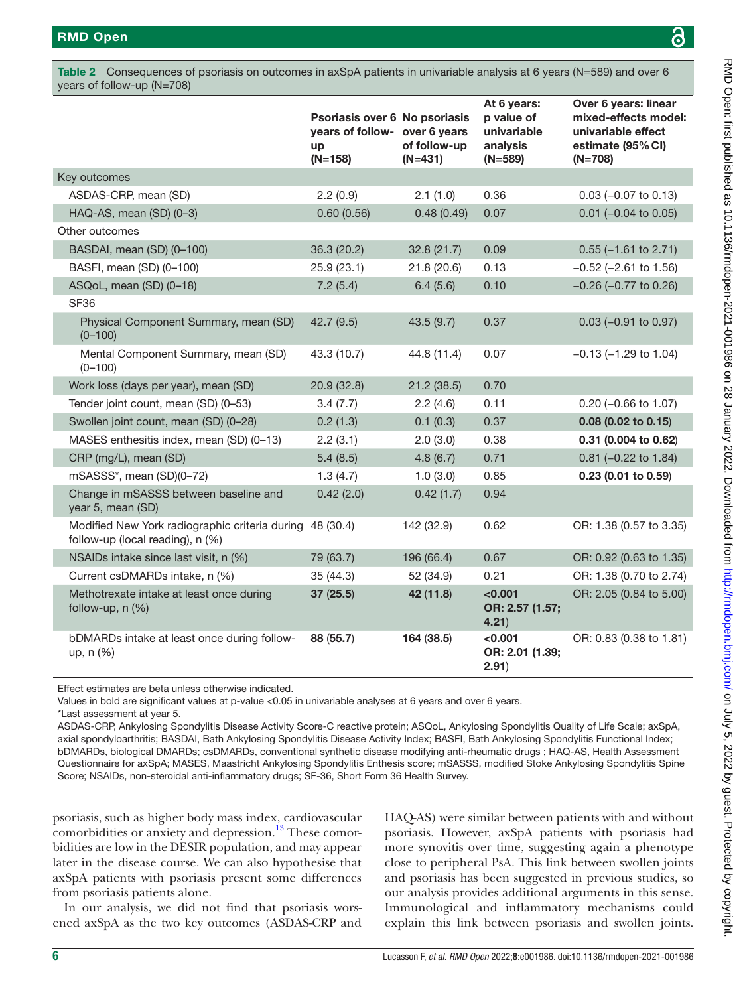<span id="page-5-0"></span>

|                                                                                    | Psoriasis over 6 No psoriasis<br>years of follow- over 6 years<br>up<br>$(N=158)$ | of follow-up<br>$(N=431)$ | At 6 years:<br>p value of<br>univariable<br>analysis<br>$(N=589)$ | Over 6 years: linear<br>mixed-effects model:<br>univariable effect<br>estimate (95% CI)<br>$(N=708)$ |
|------------------------------------------------------------------------------------|-----------------------------------------------------------------------------------|---------------------------|-------------------------------------------------------------------|------------------------------------------------------------------------------------------------------|
| Key outcomes                                                                       |                                                                                   |                           |                                                                   |                                                                                                      |
| ASDAS-CRP, mean (SD)                                                               | 2.2(0.9)                                                                          | 2.1(1.0)                  | 0.36                                                              | $0.03$ (-0.07 to 0.13)                                                                               |
| HAQ-AS, mean (SD) (0-3)                                                            | 0.60(0.56)                                                                        | 0.48(0.49)                | 0.07                                                              | $0.01$ (-0.04 to 0.05)                                                                               |
| Other outcomes                                                                     |                                                                                   |                           |                                                                   |                                                                                                      |
| BASDAI, mean (SD) (0-100)                                                          | 36.3 (20.2)                                                                       | 32.8(21.7)                | 0.09                                                              | $0.55$ (-1.61 to 2.71)                                                                               |
| BASFI, mean (SD) (0-100)                                                           | 25.9 (23.1)                                                                       | 21.8 (20.6)               | 0.13                                                              | $-0.52$ ( $-2.61$ to 1.56)                                                                           |
| ASQoL, mean (SD) (0-18)                                                            | 7.2(5.4)                                                                          | 6.4(5.6)                  | 0.10                                                              | $-0.26$ ( $-0.77$ to 0.26)                                                                           |
| <b>SF36</b>                                                                        |                                                                                   |                           |                                                                   |                                                                                                      |
| Physical Component Summary, mean (SD)<br>$(0 - 100)$                               | 42.7 (9.5)                                                                        | 43.5(9.7)                 | 0.37                                                              | $0.03$ (-0.91 to 0.97)                                                                               |
| Mental Component Summary, mean (SD)<br>$(0 - 100)$                                 | 43.3 (10.7)                                                                       | 44.8 (11.4)               | 0.07                                                              | $-0.13$ ( $-1.29$ to 1.04)                                                                           |
| Work loss (days per year), mean (SD)                                               | 20.9 (32.8)                                                                       | 21.2(38.5)                | 0.70                                                              |                                                                                                      |
| Tender joint count, mean (SD) (0-53)                                               | 3.4(7.7)                                                                          | 2.2(4.6)                  | 0.11                                                              | $0.20$ (-0.66 to 1.07)                                                                               |
| Swollen joint count, mean (SD) (0-28)                                              | 0.2(1.3)                                                                          | 0.1(0.3)                  | 0.37                                                              | $0.08$ (0.02 to 0.15)                                                                                |
| MASES enthesitis index, mean (SD) (0-13)                                           | 2.2(3.1)                                                                          | 2.0(3.0)                  | 0.38                                                              | 0.31 (0.004 to 0.62)                                                                                 |
| CRP (mg/L), mean (SD)                                                              | 5.4(8.5)                                                                          | 4.8(6.7)                  | 0.71                                                              | $0.81$ (-0.22 to 1.84)                                                                               |
| mSASSS*, mean (SD)(0-72)                                                           | 1.3(4.7)                                                                          | 1.0(3.0)                  | 0.85                                                              | $0.23$ (0.01 to 0.59)                                                                                |
| Change in mSASSS between baseline and<br>year 5, mean (SD)                         | 0.42(2.0)                                                                         | 0.42(1.7)                 | 0.94                                                              |                                                                                                      |
| Modified New York radiographic criteria during<br>follow-up (local reading), n (%) | 48 (30.4)                                                                         | 142 (32.9)                | 0.62                                                              | OR: 1.38 (0.57 to 3.35)                                                                              |
| NSAIDs intake since last visit, n (%)                                              | 79 (63.7)                                                                         | 196 (66.4)                | 0.67                                                              | OR: 0.92 (0.63 to 1.35)                                                                              |
| Current csDMARDs intake, n (%)                                                     | 35 (44.3)                                                                         | 52 (34.9)                 | 0.21                                                              | OR: 1.38 (0.70 to 2.74)                                                                              |
| Methotrexate intake at least once during<br>follow-up, n (%)                       | 37(25.5)                                                                          | 42 (11.8)                 | < 0.001<br>OR: 2.57 (1.57;<br>4.21)                               | OR: 2.05 (0.84 to 5.00)                                                                              |
| bDMARDs intake at least once during follow-<br>up, n (%)                           | 88 (55.7)                                                                         | 164 (38.5)                | < 0.001<br>OR: 2.01 (1.39;<br>2.91)                               | OR: 0.83 (0.38 to 1.81)                                                                              |

Effect estimates are beta unless otherwise indicated.

Values in bold are significant values at p-value <0.05 in univariable analyses at 6 years and over 6 years.

\*Last assessment at year 5.

ASDAS-CRP, Ankylosing Spondylitis Disease Activity Score-C reactive protein; ASQoL, Ankylosing Spondylitis Quality of Life Scale; axSpA, axial spondyloarthritis; BASDAI, Bath Ankylosing Spondylitis Disease Activity Index; BASFI, Bath Ankylosing Spondylitis Functional Index; bDMARDs, biological DMARDs; csDMARDs, conventional synthetic disease modifying anti-rheumatic drugs ; HAQ-AS, Health Assessment Questionnaire for axSpA; MASES, Maastricht Ankylosing Spondylitis Enthesis score; mSASSS, modified Stoke Ankylosing Spondylitis Spine Score; NSAIDs, non-steroidal anti-inflammatory drugs; SF-36, Short Form 36 Health Survey.

psoriasis, such as higher body mass index, cardiovascular comorbidities or anxiety and depression.<sup>[13](#page-7-10)</sup> These comorbidities are low in the DESIR population, and may appear later in the disease course. We can also hypothesise that axSpA patients with psoriasis present some differences from psoriasis patients alone.

In our analysis, we did not find that psoriasis worsened axSpA as the two key outcomes (ASDAS-CRP and

HAQ-AS) were similar between patients with and without psoriasis. However, axSpA patients with psoriasis had more synovitis over time, suggesting again a phenotype close to peripheral PsA. This link between swollen joints and psoriasis has been suggested in previous studies, so our analysis provides additional arguments in this sense. Immunological and inflammatory mechanisms could explain this link between psoriasis and swollen joints.

ဥ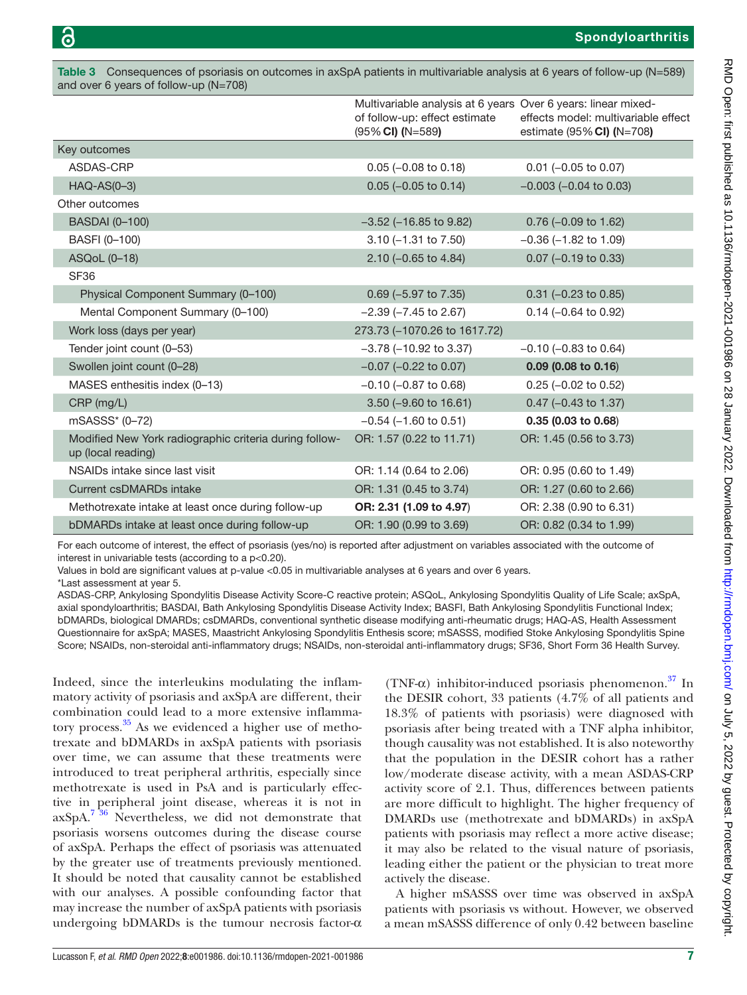<span id="page-6-0"></span>Table 3 Consequences of psoriasis on outcomes in axSpA patients in multivariable analysis at 6 years of follow-up (N=589) and over 6 years of follow-up (N=708)

|                                                                              | Multivariable analysis at 6 years Over 6 years: linear mixed-<br>of follow-up: effect estimate<br>$(95\%$ CI) (N=589) | effects model: multivariable effect<br>estimate (95% CI) (N=708) |
|------------------------------------------------------------------------------|-----------------------------------------------------------------------------------------------------------------------|------------------------------------------------------------------|
| Key outcomes                                                                 |                                                                                                                       |                                                                  |
| ASDAS-CRP                                                                    | $0.05$ (-0.08 to 0.18)                                                                                                | $0.01$ (-0.05 to 0.07)                                           |
| HAQ-AS(0-3)                                                                  | $0.05$ (-0.05 to 0.14)                                                                                                | $-0.003$ ( $-0.04$ to 0.03)                                      |
| Other outcomes                                                               |                                                                                                                       |                                                                  |
| <b>BASDAI</b> (0-100)                                                        | $-3.52$ ( $-16.85$ to $9.82$ )                                                                                        | $0.76$ $(-0.09$ to 1.62)                                         |
| BASFI (0-100)                                                                | $3.10 (-1.31$ to $7.50)$                                                                                              | $-0.36$ ( $-1.82$ to 1.09)                                       |
| ASQoL (0-18)                                                                 | $2.10$ (-0.65 to 4.84)                                                                                                | $0.07$ (-0.19 to 0.33)                                           |
| SF36                                                                         |                                                                                                                       |                                                                  |
| Physical Component Summary (0-100)                                           | $0.69$ (-5.97 to 7.35)                                                                                                | $0.31$ (-0.23 to 0.85)                                           |
| Mental Component Summary (0-100)                                             | $-2.39$ ( $-7.45$ to 2.67)                                                                                            | $0.14$ (-0.64 to 0.92)                                           |
| Work loss (days per year)                                                    | 273.73 (-1070.26 to 1617.72)                                                                                          |                                                                  |
| Tender joint count (0-53)                                                    | $-3.78$ ( $-10.92$ to 3.37)                                                                                           | $-0.10$ ( $-0.83$ to 0.64)                                       |
| Swollen joint count (0-28)                                                   | $-0.07$ ( $-0.22$ to 0.07)                                                                                            | $0.09$ (0.08 to 0.16)                                            |
| MASES enthesitis index (0-13)                                                | $-0.10$ ( $-0.87$ to 0.68)                                                                                            | $0.25$ (-0.02 to 0.52)                                           |
| CRP (mg/L)                                                                   | 3.50 (-9.60 to 16.61)                                                                                                 | $0.47$ (-0.43 to 1.37)                                           |
| mSASSS* (0-72)                                                               | $-0.54$ ( $-1.60$ to 0.51)                                                                                            | $0.35$ (0.03 to 0.68)                                            |
| Modified New York radiographic criteria during follow-<br>up (local reading) | OR: 1.57 (0.22 to 11.71)                                                                                              | OR: 1.45 (0.56 to 3.73)                                          |
| NSAIDs intake since last visit                                               | OR: 1.14 (0.64 to 2.06)                                                                                               | OR: 0.95 (0.60 to 1.49)                                          |
| <b>Current csDMARDs intake</b>                                               | OR: 1.31 (0.45 to 3.74)                                                                                               | OR: 1.27 (0.60 to 2.66)                                          |
| Methotrexate intake at least once during follow-up                           | OR: 2.31 (1.09 to 4.97)                                                                                               | OR: 2.38 (0.90 to 6.31)                                          |
| bDMARDs intake at least once during follow-up                                | OR: 1.90 (0.99 to 3.69)                                                                                               | OR: 0.82 (0.34 to 1.99)                                          |

For each outcome of interest, the effect of psoriasis (yes/no) is reported after adjustment on variables associated with the outcome of interest in univariable tests (according to a p<0.20).

Values in bold are significant values at p-value <0.05 in multivariable analyses at 6 years and over 6 years.

\*Last assessment at year 5.

ASDAS-CRP, Ankylosing Spondylitis Disease Activity Score-C reactive protein; ASQoL, Ankylosing Spondylitis Quality of Life Scale; axSpA, axial spondyloarthritis; BASDAI, Bath Ankylosing Spondylitis Disease Activity Index; BASFI, Bath Ankylosing Spondylitis Functional Index; bDMARDs, biological DMARDs; csDMARDs, conventional synthetic disease modifying anti-rheumatic drugs; HAQ-AS, Health Assessment Questionnaire for axSpA; MASES, Maastricht Ankylosing Spondylitis Enthesis score; mSASSS, modified Stoke Ankylosing Spondylitis Spine Score; NSAIDs, non-steroidal anti-inflammatory drugs; NSAIDs, non-steroidal anti-inflammatory drugs; SF36, Short Form 36 Health Survey.

Indeed, since the interleukins modulating the inflammatory activity of psoriasis and axSpA are different, their combination could lead to a more extensive inflammatory process. $35$  As we evidenced a higher use of methotrexate and bDMARDs in axSpA patients with psoriasis over time, we can assume that these treatments were introduced to treat peripheral arthritis, especially since methotrexate is used in PsA and is particularly effective in peripheral joint disease, whereas it is not in  $axSpA.<sup>736</sup>$  Nevertheless, we did not demonstrate that psoriasis worsens outcomes during the disease course of axSpA. Perhaps the effect of psoriasis was attenuated by the greater use of treatments previously mentioned. It should be noted that causality cannot be established with our analyses. A possible confounding factor that may increase the number of axSpA patients with psoriasis undergoing bDMARDs is the tumour necrosis factor-α

(TNF- $\alpha$ ) inhibitor-induced psoriasis phenomenon.<sup>[37](#page-8-9)</sup> In the DESIR cohort, 33 patients (4.7% of all patients and 18.3% of patients with psoriasis) were diagnosed with psoriasis after being treated with a TNF alpha inhibitor, though causality was not established. It is also noteworthy that the population in the DESIR cohort has a rather low/moderate disease activity, with a mean ASDAS-CRP activity score of 2.1. Thus, differences between patients are more difficult to highlight. The higher frequency of DMARDs use (methotrexate and bDMARDs) in axSpA patients with psoriasis may reflect a more active disease; it may also be related to the visual nature of psoriasis, leading either the patient or the physician to treat more actively the disease.

A higher mSASSS over time was observed in axSpA patients with psoriasis vs without. However, we observed a mean mSASSS difference of only 0.42 between baseline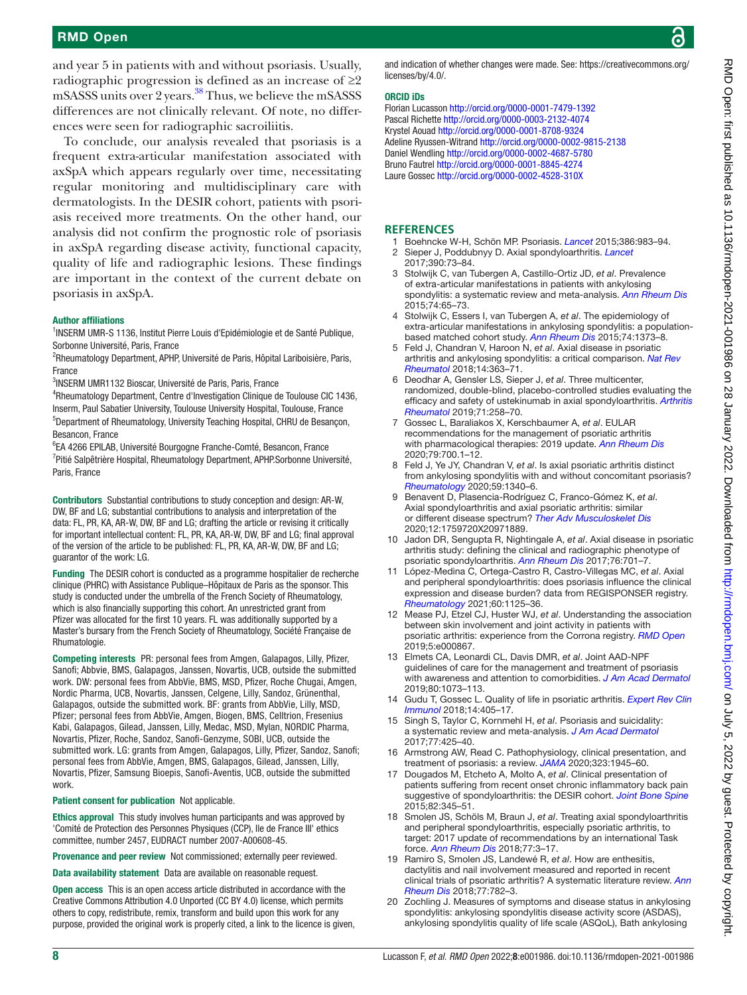## RMD Open

and year 5 in patients with and without psoriasis. Usually, radiographic progression is defined as an increase of  $\geq 2$ mSASSS units over 2 years.[38](#page-8-10) Thus, we believe the mSASSS differences are not clinically relevant. Of note, no differences were seen for radiographic sacroiliitis.

To conclude, our analysis revealed that psoriasis is a frequent extra-articular manifestation associated with axSpA which appears regularly over time, necessitating regular monitoring and multidisciplinary care with dermatologists. In the DESIR cohort, patients with psoriasis received more treatments. On the other hand, our analysis did not confirm the prognostic role of psoriasis in axSpA regarding disease activity, functional capacity, quality of life and radiographic lesions. These findings are important in the context of the current debate on psoriasis in axSpA.

#### Author affiliations

<sup>1</sup>INSERM UMR-S 1136, Institut Pierre Louis d'Epidémiologie et de Santé Publique, Sorbonne Université, Paris, France

<sup>2</sup>Rheumatology Department, APHP, Université de Paris, Hôpital Lariboisière, Paris, France

3 INSERM UMR1132 Bioscar, Université de Paris, Paris, France

4 Rheumatology Department, Centre d'Investigation Clinique de Toulouse CIC 1436, Inserm, Paul Sabatier University, Toulouse University Hospital, Toulouse, France 5 Department of Rheumatology, University Teaching Hospital, CHRU de Besançon, Besancon, France

6 EA 4266 EPILAB, Université Bourgogne Franche-Comté, Besancon, France <sup>7</sup>Pitié Salpêtrière Hospital, Rheumatology Department, APHP.Sorbonne Université, Paris, France

Contributors Substantial contributions to study conception and design: AR-W, DW, BF and LG; substantial contributions to analysis and interpretation of the data: FL, PR, KA, AR-W, DW, BF and LG; drafting the article or revising it critically for important intellectual content: FL, PR, KA, AR-W, DW, BF and LG; final approval of the version of the article to be published: FL, PR, KA, AR-W, DW, BF and LG; guarantor of the work: LG.

Funding The DESIR cohort is conducted as a programme hospitalier de recherche clinique (PHRC) with Assistance Publique–Hôpitaux de Paris as the sponsor. This study is conducted under the umbrella of the French Society of Rheumatology, which is also financially supporting this cohort. An unrestricted grant from Pfizer was allocated for the first 10 years. FL was additionally supported by a Master's bursary from the French Society of Rheumatology, Société Française de Rhumatologie.

Competing interests PR: personal fees from Amgen, Galapagos, Lilly, Pfizer, Sanofi; Abbvie, BMS, Galapagos, Janssen, Novartis, UCB, outside the submitted work. DW: personal fees from AbbVie, BMS, MSD, Pfizer, Roche Chugai, Amgen, Nordic Pharma, UCB, Novartis, Janssen, Celgene, Lilly, Sandoz, Grünenthal, Galapagos, outside the submitted work. BF: grants from AbbVie, Lilly, MSD, Pfizer; personal fees from AbbVie, Amgen, Biogen, BMS, Celltrion, Fresenius Kabi, Galapagos, Gilead, Janssen, Lilly, Medac, MSD, Mylan, NORDIC Pharma, Novartis, Pfizer, Roche, Sandoz, Sanofi-Genzyme, SOBI, UCB, outside the submitted work. LG: grants from Amgen, Galapagos, Lilly, Pfizer, Sandoz, Sanofi; personal fees from AbbVie, Amgen, BMS, Galapagos, Gilead, Janssen, Lilly, Novartis, Pfizer, Samsung Bioepis, Sanofi-Aventis, UCB, outside the submitted work.

Patient consent for publication Not applicable.

Ethics approval This study involves human participants and was approved by 'Comité de Protection des Personnes Physiques (CCP), Ile de France III' ethics committee, number 2457, EUDRACT number 2007-A00608-45.

Provenance and peer review Not commissioned; externally peer reviewed.

Data availability statement Data are available on reasonable request.

Open access This is an open access article distributed in accordance with the Creative Commons Attribution 4.0 Unported (CC BY 4.0) license, which permits others to copy, redistribute, remix, transform and build upon this work for any purpose, provided the original work is properly cited, a link to the licence is given, and indication of whether changes were made. See: [https://creativecommons.org/](https://creativecommons.org/licenses/by/4.0/) [licenses/by/4.0/](https://creativecommons.org/licenses/by/4.0/).

#### ORCID iDs

Florian Lucasson <http://orcid.org/0000-0001-7479-1392> Pascal Richette <http://orcid.org/0000-0003-2132-4074> Krystel Aouad <http://orcid.org/0000-0001-8708-9324> Adeline Ryussen-Witrand<http://orcid.org/0000-0002-9815-2138> Daniel Wendling <http://orcid.org/0000-0002-4687-5780> Bruno Fautrel<http://orcid.org/0000-0001-8845-4274> Laure Gossec <http://orcid.org/0000-0002-4528-310X>

#### **REFERENCES**

- <span id="page-7-1"></span><span id="page-7-0"></span>1 Boehncke W-H, Schön MP. Psoriasis. *[Lancet](http://dx.doi.org/10.1016/S0140-6736(14)61909-7)* 2015;386:983–94. 2 Sieper J, Poddubnyy D. Axial spondyloarthritis. *[Lancet](http://dx.doi.org/10.1016/S0140-6736(16)31591-4)* 2017;390:73–84.
- <span id="page-7-2"></span>3 Stolwijk C, van Tubergen A, Castillo-Ortiz JD, *et al*. Prevalence of extra-articular manifestations in patients with ankylosing spondylitis: a systematic review and meta-analysis. *[Ann Rheum Dis](http://dx.doi.org/10.1136/annrheumdis-2013-203582)* 2015;74:65–73.
- <span id="page-7-3"></span>4 Stolwijk C, Essers I, van Tubergen A, *et al*. The epidemiology of extra-articular manifestations in ankylosing spondylitis: a populationbased matched cohort study. *[Ann Rheum Dis](http://dx.doi.org/10.1136/annrheumdis-2014-205253)* 2015;74:1373–8.
- <span id="page-7-4"></span>5 Feld J, Chandran V, Haroon N, *et al*. Axial disease in psoriatic arthritis and ankylosing spondylitis: a critical comparison. *[Nat Rev](http://dx.doi.org/10.1038/s41584-018-0006-8)  [Rheumatol](http://dx.doi.org/10.1038/s41584-018-0006-8)* 2018;14:363–71.
- <span id="page-7-5"></span>6 Deodhar A, Gensler LS, Sieper J, *et al*. Three multicenter, randomized, double-blind, placebo-controlled studies evaluating the efficacy and safety of ustekinumab in axial spondyloarthritis. *[Arthritis](http://dx.doi.org/10.1002/art.40728)  [Rheumatol](http://dx.doi.org/10.1002/art.40728)* 2019;71:258–70.
- <span id="page-7-6"></span>7 Gossec L, Baraliakos X, Kerschbaumer A, *et al*. EULAR recommendations for the management of psoriatic arthritis with pharmacological therapies: 2019 update. *[Ann Rheum Dis](http://dx.doi.org/10.1136/annrheumdis-2020-217159)* 2020;79:700.1–12.
- <span id="page-7-7"></span>8 Feld J, Ye JY, Chandran V, *et al*. Is axial psoriatic arthritis distinct from ankylosing spondylitis with and without concomitant psoriasis? *[Rheumatology](http://dx.doi.org/10.1093/rheumatology/kez457)* 2020;59:1340–6.
- 9 Benavent D, Plasencia-Rodríguez C, Franco-Gómez K, *et al*. Axial spondyloarthritis and axial psoriatic arthritis: similar or different disease spectrum? *[Ther Adv Musculoskelet Dis](http://dx.doi.org/10.1177/1759720X20971889)* 2020;12:1759720X20971889.
- <span id="page-7-8"></span>10 Jadon DR, Sengupta R, Nightingale A, *et al*. Axial disease in psoriatic arthritis study: defining the clinical and radiographic phenotype of psoriatic spondyloarthritis. *[Ann Rheum Dis](http://dx.doi.org/10.1136/annrheumdis-2016-209853)* 2017;76:701–7.
- <span id="page-7-9"></span>11 López-Medina C, Ortega-Castro R, Castro-Villegas MC, *et al*. Axial and peripheral spondyloarthritis: does psoriasis influence the clinical expression and disease burden? data from REGISPONSER registry. *[Rheumatology](http://dx.doi.org/10.1093/rheumatology/keaa398)* 2021;60:1125–36.
- 12 Mease PJ, Etzel CJ, Huster WJ, *et al*. Understanding the association between skin involvement and joint activity in patients with psoriatic arthritis: experience from the Corrona registry. *[RMD Open](http://dx.doi.org/10.1136/rmdopen-2018-000867)* 2019;5:e000867.
- <span id="page-7-10"></span>13 Elmets CA, Leonardi CL, Davis DMR, *et al*. Joint AAD-NPF guidelines of care for the management and treatment of psoriasis with awareness and attention to comorbidities. *[J Am Acad Dermatol](http://dx.doi.org/10.1016/j.jaad.2018.11.058)* 2019;80:1073–113.
- 14 Gudu T, Gossec L. Quality of life in psoriatic arthritis. *[Expert Rev Clin](http://dx.doi.org/10.1080/1744666X.2018.1468252)  [Immunol](http://dx.doi.org/10.1080/1744666X.2018.1468252)* 2018;14:405–17.
- 15 Singh S, Taylor C, Kornmehl H, *et al*. Psoriasis and suicidality: a systematic review and meta-analysis. *[J Am Acad Dermatol](http://dx.doi.org/10.1016/j.jaad.2017.05.019)* 2017;77:425–40.
- <span id="page-7-11"></span>16 Armstrong AW, Read C. Pathophysiology, clinical presentation, and treatment of psoriasis: a review. *[JAMA](http://dx.doi.org/10.1001/jama.2020.4006)* 2020;323:1945–60.
- <span id="page-7-12"></span>17 Dougados M, Etcheto A, Molto A, *et al*. Clinical presentation of patients suffering from recent onset chronic inflammatory back pain suggestive of spondyloarthritis: the DESIR cohort. *[Joint Bone Spine](http://dx.doi.org/10.1016/j.jbspin.2015.02.006)* 2015;82:345–51.
- <span id="page-7-13"></span>18 Smolen JS, Schöls M, Braun J, *et al*. Treating axial spondyloarthritis and peripheral spondyloarthritis, especially psoriatic arthritis, to target: 2017 update of recommendations by an international Task force. *[Ann Rheum Dis](http://dx.doi.org/10.1136/annrheumdis-2017-211734)* 2018;77:3–17.
- 19 Ramiro S, Smolen JS, Landewé R, *et al*. How are enthesitis, dactylitis and nail involvement measured and reported in recent clinical trials of psoriatic arthritis? A systematic literature review. *[Ann](http://dx.doi.org/10.1136/annrheumdis-2017-211447)  [Rheum Dis](http://dx.doi.org/10.1136/annrheumdis-2017-211447)* 2018;77:782–3.
- <span id="page-7-14"></span>20 Zochling J. Measures of symptoms and disease status in ankylosing spondylitis: ankylosing spondylitis disease activity score (ASDAS), ankylosing spondylitis quality of life scale (ASQoL), Bath ankylosing